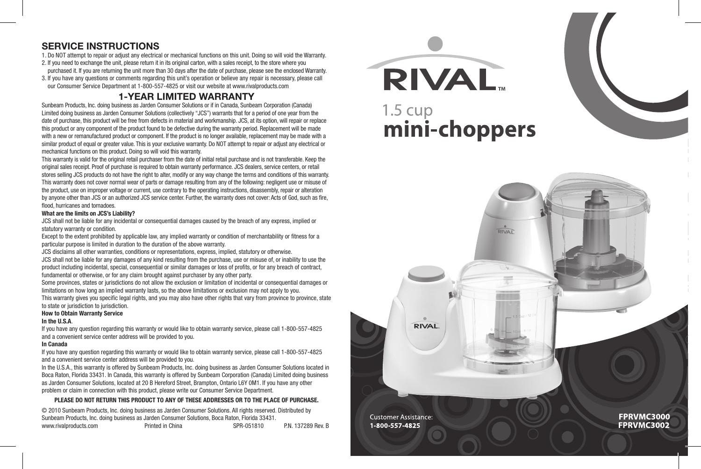#### **service instructions**

1. Do NOT attempt to repair or adjust any electrical or mechanical functions on this unit. Doing so will void the Warranty.

2. If you need to exchange the unit, please return it in its original carton, with a sales receipt, to the store where you

purchased it. If you are returning the unit more than 30 days after the date of purchase, please see the enclosed Warranty. 3. If you have any questions or comments regarding this unit's operation or believe any repair is necessary, please call

our Consumer Service Department at 1-800-557-4825 or visit our website at www.rivalproducts.com

#### **1-Year Limited Warranty**

Sunbeam Products, Inc. doing business as Jarden Consumer Solutions or if in Canada, Sunbeam Corporation (Canada) Limited doing business as Jarden Consumer Solutions (collectively "JCS") warrants that for a period of one year from the date of purchase, this product will be free from defects in material and workmanship. JCS, at its option, will repair or replace this product or any component of the product found to be defective during the warranty period. Replacement will be made with a new or remanufactured product or component. If the product is no longer available, replacement may be made with a similar product of equal or greater value. This is your exclusive warranty. Do NOT attempt to repair or adjust any electrical or mechanical functions on this product. Doing so will void this warranty.

This warranty is valid for the original retail purchaser from the date of initial retail purchase and is not transferable. Keep the original sales receipt. Proof of purchase is required to obtain warranty performance. JCS dealers, service centers, or retail stores selling JCS products do not have the right to alter, modify or any way change the terms and conditions of this warranty. This warranty does not cover normal wear of parts or damage resulting from any of the following: negligent use or misuse of the product, use on improper voltage or current, use contrary to the operating instructions, disassembly, repair or alteration by anyone other than JCS or an authorized JCS service center. Further, the warranty does not cover: Acts of God, such as fire, flood, hurricanes and tornadoes.

#### **What are the limits on JCS's Liability?**

JCS shall not be liable for any incidental or consequential damages caused by the breach of any express, implied or statutory warranty or condition.

Except to the extent prohibited by applicable law, any implied warranty or condition of merchantability or fitness for a particular purpose is limited in duration to the duration of the above warranty.

JCS disclaims all other warranties, conditions or representations, express, implied, statutory or otherwise.

JCS shall not be liable for any damages of any kind resulting from the purchase, use or misuse of, or inability to use the product including incidental, special, consequential or similar damages or loss of profits, or for any breach of contract, fundamental or otherwise, or for any claim brought against purchaser by any other party.

Some provinces, states or jurisdictions do not allow the exclusion or limitation of incidental or consequential damages or limitations on how long an implied warranty lasts, so the above limitations or exclusion may not apply to you. This warranty gives you specific legal rights, and you may also have other rights that vary from province to province, state

#### to state or jurisdiction to jurisdiction.

#### **How to Obtain Warranty Service**

#### **In the U.S.A**.

If you have any question regarding this warranty or would like to obtain warranty service, please call 1-800-557-4825 and a convenient service center address will be provided to you.

#### **In Canada**

If you have any question regarding this warranty or would like to obtain warranty service, please call 1-800-557-4825 and a convenient service center address will be provided to you.

In the U.S.A., this warranty is offered by Sunbeam Products, Inc. doing business as Jarden Consumer Solutions located in Boca Raton, Florida 33431. In Canada, this warranty is offered by Sunbeam Corporation (Canada) Limited doing business as Jarden Consumer Solutions, located at 20 B Hereford Street, Brampton, Ontario L6Y 0M1. If you have any other problem or claim in connection with this product, please write our Consumer Service Department.

#### **PLEASE DO NOT RETURN THIS PRODUCT TO ANY OF THESE ADDRESSES OR TO THE PLACE OF PURCHASE.**

© 2010 Sunbeam Products, Inc. doing business as Jarden Consumer Solutions. All rights reserved. Distributed by Sunbeam Products, Inc. doing business as Jarden Consumer Solutions, Boca Raton, Florida 33431.<br>www.rivalproducts.com **Printed in China** www.rivalproducts.com **Printed in China** SPR-051810 P.N. 137289 Rev. B **RIVAL** 

# $1.5 \text{ cup}$ 1.5 cup<br>**mini-choppers**

 $\frac{1}{\text{RIVAI}}$ 

**Customer Assistance:** 1-800-557-4825

**RIVAL** 

**FPRVMC3000** FPRVMC3002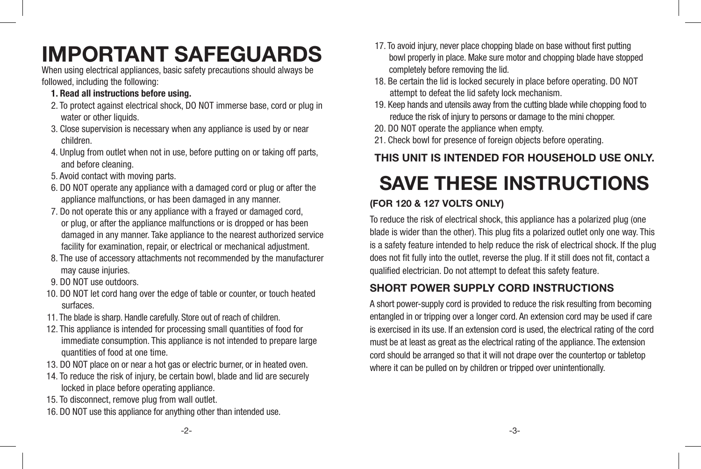# **IMPORTANT SAFEGUARDS**

When using electrical appliances, basic safety precautions should always be followed, including the following:

- **1. Read all instructions before using.**
- 2. To protect against electrical shock, DO NOT immerse base, cord or plug in water or other liquids.
- 3. Close supervision is necessary when any appliance is used by or near children.
- 4. Unplug from outlet when not in use, before putting on or taking off parts, and before cleaning.
- 5. Avoid contact with moving parts.
- 6. DO NOT operate any appliance with a damaged cord or plug or after the appliance malfunctions, or has been damaged in any manner.
- 7. Do not operate this or any appliance with a frayed or damaged cord, or plug, or after the appliance malfunctions or is dropped or has been damaged in any manner. Take appliance to the nearest authorized service facility for examination, repair, or electrical or mechanical adjustment.
- 8. The use of accessory attachments not recommended by the manufacturer may cause injuries.
- 9. DO NOT use outdoors.
- 10. DO NOT let cord hang over the edge of table or counter, or touch heated surfaces.
- 11. The blade is sharp. Handle carefully. Store out of reach of children.
- 12. This appliance is intended for processing small quantities of food for immediate consumption. This appliance is not intended to prepare large quantities of food at one time.
- 13. DO NOT place on or near a hot gas or electric burner, or in heated oven.
- 14. To reduce the risk of injury, be certain bowl, blade and lid are securely locked in place before operating appliance.
- 15. To disconnect, remove plug from wall outlet.
- 16. DO NOT use this appliance for anything other than intended use.
- 17. To avoid injury, never place chopping blade on base without first putting bowl properly in place. Make sure motor and chopping blade have stopped completely before removing the lid.
- 18. Be certain the lid is locked securely in place before operating. DO NOT attempt to defeat the lid safety lock mechanism.
- 19. Keep hands and utensils away from the cutting blade while chopping food to reduce the risk of injury to persons or damage to the mini chopper.
- 20. DO NOT operate the appliance when empty.
- 21. Check bowl for presence of foreign objects before operating.

# **This unit is intended for household use only.**

# **Save these instructions**

## **(For 120 & 127 Volts Only)**

To reduce the risk of electrical shock, this appliance has a polarized plug (one blade is wider than the other). This plug fits a polarized outlet only one way. This is a safety feature intended to help reduce the risk of electrical shock. If the plug does not fit fully into the outlet, reverse the plug. If it still does not fit, contact a qualified electrician. Do not attempt to defeat this safety feature.

## **SHORT POWER SUPPLY CORD INSTRUCTIONS**

A short power-supply cord is provided to reduce the risk resulting from becoming entangled in or tripping over a longer cord. An extension cord may be used if care is exercised in its use. If an extension cord is used, the electrical rating of the cord must be at least as great as the electrical rating of the appliance. The extension cord should be arranged so that it will not drape over the countertop or tabletop where it can be pulled on by children or tripped over unintentionally.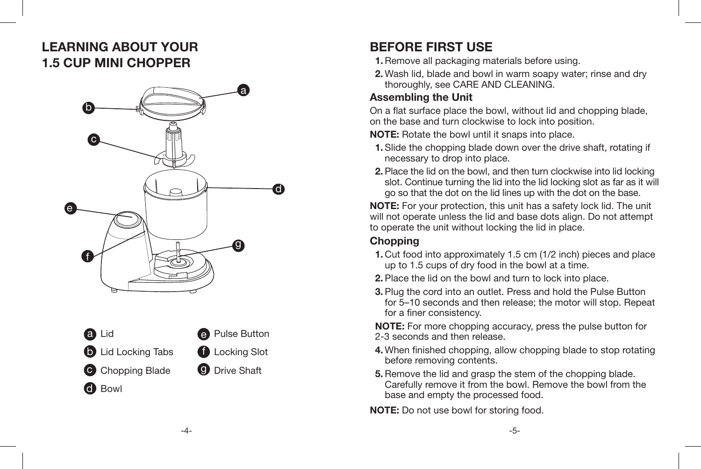# **learning about your 1.5 Cup Mini Chopper**





# **Before first use**

- **1.**Remove all packaging materials before using.
- **2.** Wash lid, blade and bowl in warm soapy water; rinse and dry thoroughly, see CARE AND CLEANING.

## **Assembling the Unit**

On a flat surface place the bowl, without lid and chopping blade, on the base and turn clockwise to lock into position.

**NOTE:** Rotate the bowl until it snaps into place.

- **1.** Slide the chopping blade down over the drive shaft, rotating if necessary to drop into place.
- **2.** Place the lid on the bowl, and then turn clockwise into lid locking slot. Continue turning the lid into the lid locking slot as far as it will go so that the dot on the lid lines up with the dot on the base.

**NOTE:** For your protection, this unit has a safety lock lid. The unit will not operate unless the lid and base dots align. Do not attempt to operate the unit without locking the lid in place.

## **Chopping**

- **1.** Cut food into approximately 1.5 cm (1/2 inch) pieces and place up to 1.5 cups of dry food in the bowl at a time.
- **2.** Place the lid on the bowl and turn to lock into place.
- **3.** Plug the cord into an outlet. Press and hold the Pulse Button for 5–10 seconds and then release; the motor will stop. Repeat for a finer consistency.

**NOTE:** For more chopping accuracy, press the pulse button for 2-3 seconds and then release.

- **4.** When finished chopping, allow chopping blade to stop rotating before removing contents.
- **5.** Remove the lid and grasp the stem of the chopping blade. Carefully remove it from the bowl. Remove the bowl from the base and empty the processed food.

**NOTE:** Do not use bowl for storing food.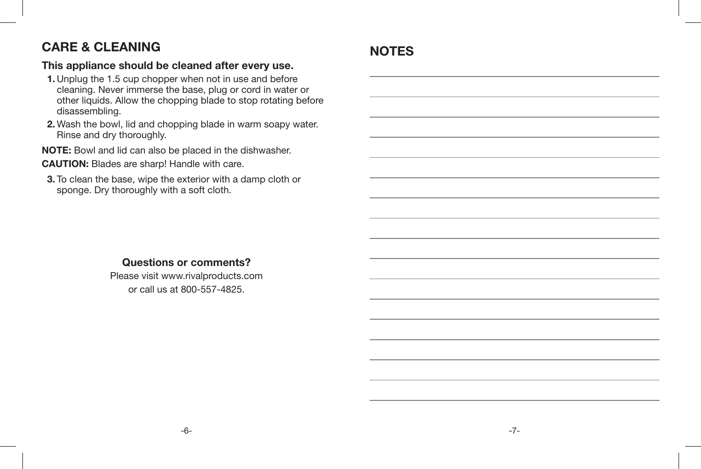# **CARE & CLEANING**

#### **This appliance should be cleaned after every use.**

- **1.** Unplug the 1.5 cup chopper when not in use and before cleaning. Never immerse the base, plug or cord in water or other liquids. Allow the chopping blade to stop rotating before disassembling.
- **2.** Wash the bowl, lid and chopping blade in warm soapy water. Rinse and dry thoroughly.

**NOTE:** Bowl and lid can also be placed in the dishwasher. **CAUTION:** Blades are sharp! Handle with care.

**3.** To clean the base, wipe the exterior with a damp cloth or sponge. Dry thoroughly with a soft cloth.

### **Questions or comments?**

Please visit www.rivalproducts.com or call us at 800-557-4825.

# **Notes**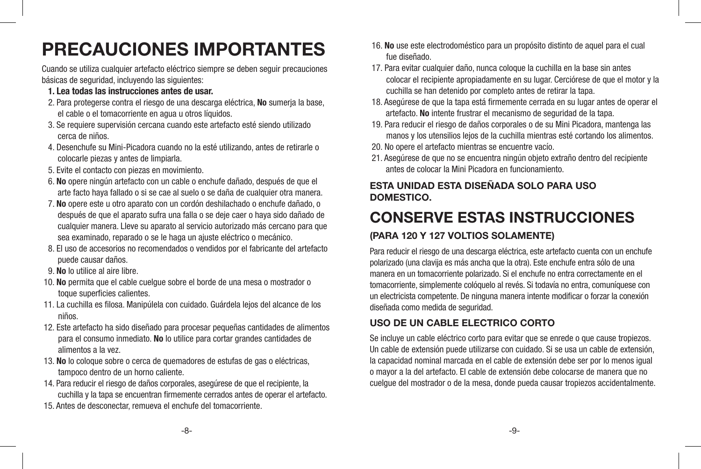# **PRECAUCIONES IMPORTANTES**

Cuando se utiliza cualquier artefacto eléctrico siempre se deben seguir precauciones básicas de seguridad, incluyendo las siguientes:

- **1. Lea todas las instrucciones antes de usar.**
- 2. Para protegerse contra el riesgo de una descarga eléctrica, **No** sumerja la base, el cable o el tomacorriente en agua u otros líquidos.
- 3. Se requiere supervisión cercana cuando este artefacto esté siendo utilizado cerca de niños.
- 4. Desenchufe su Mini-Picadora cuando no la esté utilizando, antes de retirarle o colocarle piezas y antes de limpiarla.
- 5. Evite el contacto con piezas en movimiento.
- 6. **No** opere ningún artefacto con un cable o enchufe dañado, después de que el arte facto haya fallado o si se cae al suelo o se daña de cualquier otra manera.
- 7. **No** opere este u otro aparato con un cordón deshilachado o enchufe dañado, o después de que el aparato sufra una falla o se deje caer o haya sido dañado de cualquier manera. Lleve su aparato al servicio autorizado más cercano para que sea examinado, reparado o se le haga un ajuste eléctrico o mecánico.
- 8. El uso de accesorios no recomendados o vendidos por el fabricante del artefacto puede causar daños.
- 9. **No** lo utilice al aire libre.
- 10. **No** permita que el cable cuelgue sobre el borde de una mesa o mostrador o toque superficies calientes.
- 11. La cuchilla es filosa. Manipúlela con cuidado. Guárdela lejos del alcance de los niños.
- 12. Este artefacto ha sido diseñado para procesar pequeñas cantidades de alimentos para el consumo inmediato. **No** lo utilice para cortar grandes cantidades de alimentos a la vez.
- 13. **No** lo coloque sobre o cerca de quemadores de estufas de gas o eléctricas, tampoco dentro de un horno caliente.
- 14. Para reducir el riesgo de daños corporales, asegúrese de que el recipiente, la cuchilla y la tapa se encuentran firmemente cerrados antes de operar el artefacto.
- 15. Antes de desconectar, remueva el enchufe del tomacorriente.
- 16. **No** use este electrodoméstico para un propósito distinto de aquel para el cual fue diseñado.
- 17. Para evitar cualquier daño, nunca coloque la cuchilla en la base sin antes colocar el recipiente apropiadamente en su lugar. Cerciórese de que el motor y la cuchilla se han detenido por completo antes de retirar la tapa.
- 18. Asegúrese de que la tapa está firmemente cerrada en su lugar antes de operar el artefacto. **No** intente frustrar el mecanismo de seguridad de la tapa.
- 19. Para reducir el riesgo de daños corporales o de su Mini Picadora, mantenga las manos y los utensilios lejos de la cuchilla mientras esté cortando los alimentos.
- 20. No opere el artefacto mientras se encuentre vacío.
- 21. Asegúrese de que no se encuentra ningún objeto extraño dentro del recipiente antes de colocar la Mini Picadora en funcionamiento.

#### **ESTA UNIDAD ESTA DISEÑADA SOLO PARA USO DOMESTICO.**

# **CONSERVE ESTAS INSTRUCCIONES**

## **(Para 120 y 127 Voltios solamente)**

Para reducir el riesgo de una descarga eléctrica, este artefacto cuenta con un enchufe polarizado (una clavija es más ancha que la otra). Este enchufe entra sólo de una manera en un tomacorriente polarizado. Si el enchufe no entra correctamente en el tomacorriente, simplemente colóquelo al revés. Si todavía no entra, comuníquese con un electricista competente. De ninguna manera intente modificar o forzar la conexión diseñada como medida de seguridad.

### **USO DE UN CABLE ELECTRICO CORTO**

Se incluye un cable eléctrico corto para evitar que se enrede o que cause tropiezos. Un cable de extensión puede utilizarse con cuidado. Si se usa un cable de extensión, la capacidad nominal marcada en el cable de extensión debe ser por lo menos igual o mayor a la del artefacto. El cable de extensión debe colocarse de manera que no cuelgue del mostrador o de la mesa, donde pueda causar tropiezos accidentalmente.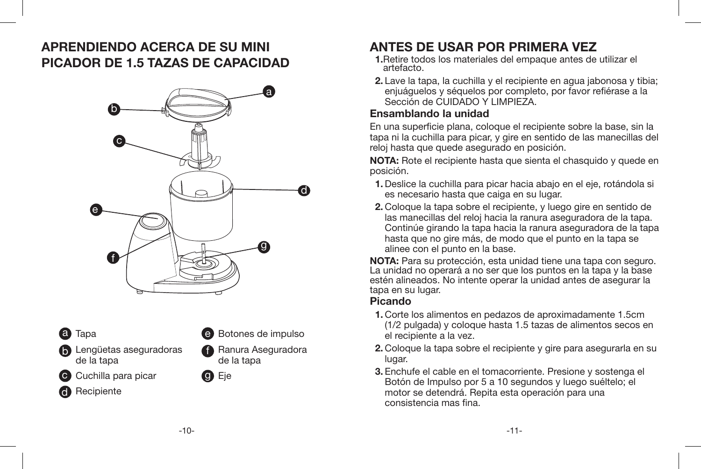# **Aprendiendo acerca de su Mini Picador de 1.5 tazas de capacidad**





d



**b** Lengüetas aseguradoras de la tapa

c Cuchilla para picar composition of the Co

**Recipiente** 



e Botones de impulso



# **ANTES DE USAR POR PRIMERA VEZ**

- **1.**Retire todos los materiales del empaque antes de utilizar el artefacto.
- **2.** Lave la tapa, la cuchilla y el recipiente en agua jabonosa y tibia; enjuáguelos y séquelos por completo, por favor refiérase a la Sección de CUIDADO Y LIMPIEZA.

#### **Ensamblando la unidad**

En una superficie plana, coloque el recipiente sobre la base, sin la tapa ni la cuchilla para picar, y gire en sentido de las manecillas del reloj hasta que quede asegurado en posición.

**NOTA:** Rote el recipiente hasta que sienta el chasquido y quede en posición.

- **1.** Deslice la cuchilla para picar hacia abajo en el eje, rotándola si es necesario hasta que caiga en su lugar.
- **2.** Coloque la tapa sobre el recipiente, y luego gire en sentido de las manecillas del reloj hacia la ranura aseguradora de la tapa. Continúe girando la tapa hacia la ranura aseguradora de la tapa hasta que no gire más, de modo que el punto en la tapa se alinee con el punto en la base.

**NOTA:** Para su protección, esta unidad tiene una tapa con seguro. La unidad no operará a no ser que los puntos en la tapa y la base estén alineados. No intente operar la unidad antes de asegurar la tapa en su lugar.

### **Picando**

- **1.** Corte los alimentos en pedazos de aproximadamente 1.5cm (1/2 pulgada) y coloque hasta 1.5 tazas de alimentos secos en el recipiente a la vez.
- **2.** Coloque la tapa sobre el recipiente y gire para asegurarla en su lugar.
- **3.** Enchufe el cable en el tomacorriente. Presione y sostenga el Botón de Impulso por 5 a 10 segundos y luego suéltelo; el motor se detendrá. Repita esta operación para una consistencia mas fina.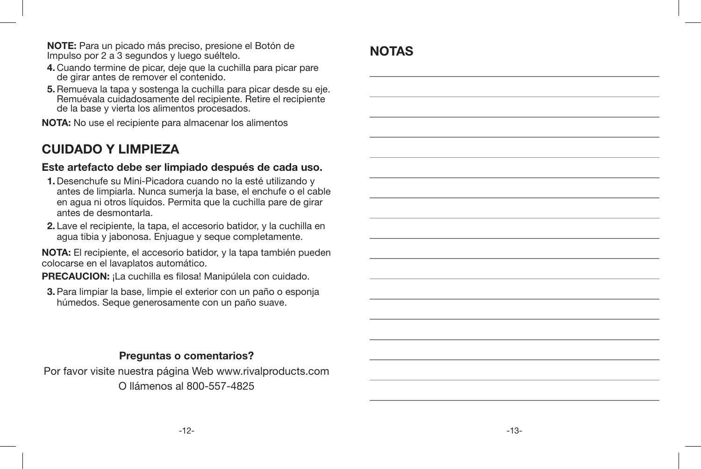**NOTE:** Para un picado más preciso, presione el Botón de Impulso por 2 a 3 segundos y luego suéltelo.

- **4.** Cuando termine de picar, deje que la cuchilla para picar pare de girar antes de remover el contenido.
- **5.** Remueva la tapa y sostenga la cuchilla para picar desde su eje. Remuévala cuidadosamente del recipiente. Retire el recipiente de la base y vierta los alimentos procesados.

**NOTA:** No use el recipiente para almacenar los alimentos

# **CUIDADO Y LIMPIEZA**

#### **Este artefacto debe ser limpiado después de cada uso.**

- **1.** Desenchufe su Mini-Picadora cuando no la esté utilizando y antes de limpiarla. Nunca sumeria la base, el enchufe o el cable en agua ni otros líquidos. Permita que la cuchilla pare de girar antes de desmontarla.
- **2.** Lave el recipiente, la tapa, el accesorio batidor, y la cuchilla en agua tibia y jabonosa. Enjuague y seque completamente.

**NOTA:** El recipiente, el accesorio batidor, y la tapa también pueden colocarse en el lavaplatos automático.

**PRECAUCION:** ¡La cuchilla es filosa! Manipúlela con cuidado.

**3.** Para limpiar la base, limpie el exterior con un paño o esponja húmedos. Seque generosamente con un paño suave.

### **Preguntas o comentarios?**

Por favor visite nuestra página Web www.rivalproducts.com O llámenos al 800-557-4825

# **NotAs**